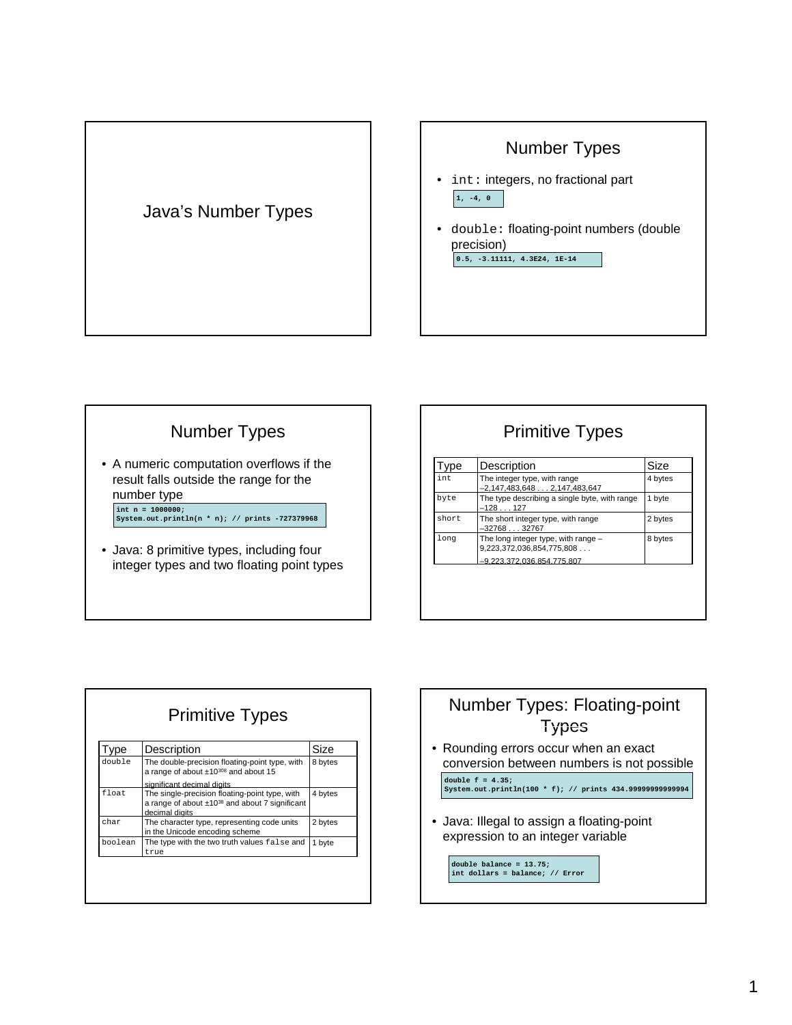



# Number Types

• A numeric computation overflows if the result falls outside the range for the number type

**int n = 1000000; System.out.println(n \* n); // prints -727379968**

• Java: 8 primitive types, including four integer types and two floating point types

| <b>Primitive Types</b> |  |
|------------------------|--|
|                        |  |

| vpe   | Description                                                      | Size    |
|-------|------------------------------------------------------------------|---------|
| int   | The integer type, with range<br>$-2,147,483,6482,147,483,647$    | 4 bytes |
| byte  | The type describing a single byte, with range<br>$-128127$       | 1 byte  |
| short | The short integer type, with range<br>$-3276832767$              | 2 bytes |
| long  | The long integer type, with range -<br>9,223,372,036,854,775,808 | 8 bytes |
|       | -9.223.372.036.854.775.807                                       |         |

| <b>Primitive Types</b> |                                                                                                                            |         |
|------------------------|----------------------------------------------------------------------------------------------------------------------------|---------|
| vpe                    | Description                                                                                                                | Size    |
| double                 | The double-precision floating-point type, with<br>a range of about ±10308 and about 15                                     | 8 bytes |
|                        | significant decimal digits                                                                                                 |         |
| float.                 | The single-precision floating-point type, with<br>a range of about $\pm 10^{38}$ and about 7 significant<br>decimal digits | 4 bytes |
| char                   | The character type, representing code units<br>in the Unicode encoding scheme                                              | 2 bytes |
| boolean                | The type with the two truth values false and<br>true                                                                       | 1 byte  |

## Number Types: Floating-point **Types**

• Rounding errors occur when an exact conversion between numbers is not possible

**double f = 4.35; System.out.println(100 \* f); // prints 434.99999999999994** 

• Java: Illegal to assign a floating-point expression to an integer variable

**double balance = 13.75; int dollars = balance; // Error**